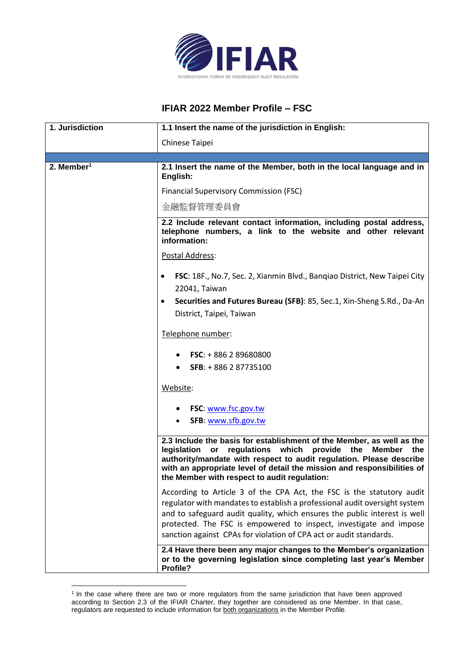

## **IFIAR 2022 Member Profile – FSC**

| 1. Jurisdiction        | 1.1 Insert the name of the jurisdiction in English:                                                                                                                                                                                                                                                                                                                          |
|------------------------|------------------------------------------------------------------------------------------------------------------------------------------------------------------------------------------------------------------------------------------------------------------------------------------------------------------------------------------------------------------------------|
|                        | Chinese Taipei                                                                                                                                                                                                                                                                                                                                                               |
|                        |                                                                                                                                                                                                                                                                                                                                                                              |
| 2. Member <sup>1</sup> | 2.1 Insert the name of the Member, both in the local language and in<br>English:                                                                                                                                                                                                                                                                                             |
|                        | <b>Financial Supervisory Commission (FSC)</b>                                                                                                                                                                                                                                                                                                                                |
|                        | 金融監督管理委員會                                                                                                                                                                                                                                                                                                                                                                    |
|                        | 2.2 Include relevant contact information, including postal address,<br>telephone numbers, a link to the website and other relevant<br>information:                                                                                                                                                                                                                           |
|                        | Postal Address:                                                                                                                                                                                                                                                                                                                                                              |
|                        | FSC: 18F., No.7, Sec. 2, Xianmin Blvd., Banqiao District, New Taipei City<br>$\bullet$<br>22041, Taiwan                                                                                                                                                                                                                                                                      |
|                        | Securities and Futures Bureau (SFB): 85, Sec.1, Xin-Sheng S.Rd., Da-An<br>$\bullet$<br>District, Taipei, Taiwan                                                                                                                                                                                                                                                              |
|                        | Telephone number:                                                                                                                                                                                                                                                                                                                                                            |
|                        | <b>FSC:</b> $+886289680800$                                                                                                                                                                                                                                                                                                                                                  |
|                        | SFB: +886 287735100                                                                                                                                                                                                                                                                                                                                                          |
|                        | Website:                                                                                                                                                                                                                                                                                                                                                                     |
|                        | FSC: www.fsc.gov.tw                                                                                                                                                                                                                                                                                                                                                          |
|                        | SFB: www.sfb.gov.tw                                                                                                                                                                                                                                                                                                                                                          |
|                        | 2.3 Include the basis for establishment of the Member, as well as the<br>legislation<br>regulations which provide the Member the<br>or<br>authority/mandate with respect to audit regulation. Please describe<br>with an appropriate level of detail the mission and responsibilities of<br>the Member with respect to audit regulation:                                     |
|                        | According to Article 3 of the CPA Act, the FSC is the statutory audit<br>regulator with mandates to establish a professional audit oversight system<br>and to safeguard audit quality, which ensures the public interest is well<br>protected. The FSC is empowered to inspect, investigate and impose<br>sanction against CPAs for violation of CPA act or audit standards. |
|                        | 2.4 Have there been any major changes to the Member's organization<br>or to the governing legislation since completing last year's Member<br>Profile?                                                                                                                                                                                                                        |

<sup>&</sup>lt;sup>1</sup> In the case where there are two or more regulators from the same jurisdiction that have been approved according to Section 2.3 of the IFIAR Charter, they together are considered as one Member. In that case, regulators are requested to include information for both organizations in the Member Profile.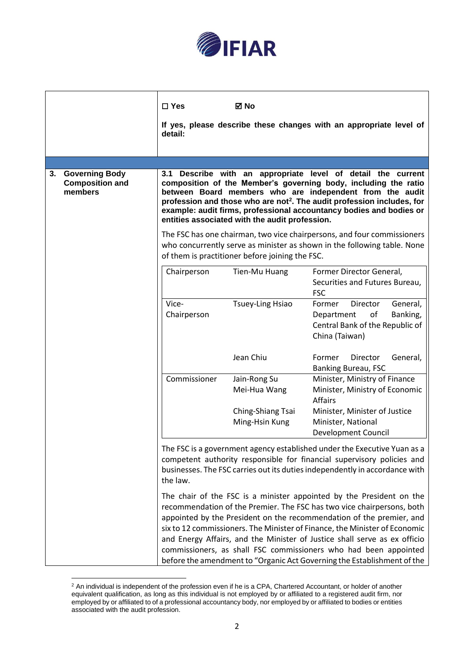

|                                                                                                                                                                                                                                               | $\square$ Yes        | ⊠ No                                            |                                                                                                                                                                                                                                                                                                                                                                                                                                                                                                                                  |
|-----------------------------------------------------------------------------------------------------------------------------------------------------------------------------------------------------------------------------------------------|----------------------|-------------------------------------------------|----------------------------------------------------------------------------------------------------------------------------------------------------------------------------------------------------------------------------------------------------------------------------------------------------------------------------------------------------------------------------------------------------------------------------------------------------------------------------------------------------------------------------------|
|                                                                                                                                                                                                                                               | detail:              |                                                 | If yes, please describe these changes with an appropriate level of                                                                                                                                                                                                                                                                                                                                                                                                                                                               |
|                                                                                                                                                                                                                                               |                      |                                                 |                                                                                                                                                                                                                                                                                                                                                                                                                                                                                                                                  |
| 3.<br><b>Governing Body</b><br><b>Composition and</b><br>members                                                                                                                                                                              |                      | entities associated with the audit profession.  | 3.1 Describe with an appropriate level of detail the current<br>composition of the Member's governing body, including the ratio<br>between Board members who are independent from the audit<br>profession and those who are not <sup>2</sup> . The audit profession includes, for<br>example: audit firms, professional accountancy bodies and bodies or                                                                                                                                                                         |
|                                                                                                                                                                                                                                               |                      | of them is practitioner before joining the FSC. | The FSC has one chairman, two vice chairpersons, and four commissioners<br>who concurrently serve as minister as shown in the following table. None                                                                                                                                                                                                                                                                                                                                                                              |
|                                                                                                                                                                                                                                               | Chairperson          | Tien-Mu Huang                                   | Former Director General,<br>Securities and Futures Bureau,<br><b>FSC</b>                                                                                                                                                                                                                                                                                                                                                                                                                                                         |
|                                                                                                                                                                                                                                               | Vice-<br>Chairperson | <b>Tsuey-Ling Hsiao</b>                         | Director<br>General,<br>Former<br>of<br>Banking,<br>Department<br>Central Bank of the Republic of<br>China (Taiwan)                                                                                                                                                                                                                                                                                                                                                                                                              |
|                                                                                                                                                                                                                                               |                      | Jean Chiu                                       | Former<br>Director<br>General,<br>Banking Bureau, FSC                                                                                                                                                                                                                                                                                                                                                                                                                                                                            |
|                                                                                                                                                                                                                                               | Commissioner         | Jain-Rong Su<br>Mei-Hua Wang                    | Minister, Ministry of Finance<br>Minister, Ministry of Economic<br><b>Affairs</b>                                                                                                                                                                                                                                                                                                                                                                                                                                                |
|                                                                                                                                                                                                                                               |                      | Ching-Shiang Tsai<br>Ming-Hsin Kung             | Minister, Minister of Justice<br>Minister, National<br><b>Development Council</b>                                                                                                                                                                                                                                                                                                                                                                                                                                                |
| The FSC is a government agency established under the Executive Yuan as a<br>competent authority responsible for financial supervisory policies and<br>businesses. The FSC carries out its duties independently in accordance with<br>the law. |                      |                                                 |                                                                                                                                                                                                                                                                                                                                                                                                                                                                                                                                  |
|                                                                                                                                                                                                                                               |                      |                                                 | The chair of the FSC is a minister appointed by the President on the<br>recommendation of the Premier. The FSC has two vice chairpersons, both<br>appointed by the President on the recommendation of the premier, and<br>six to 12 commissioners. The Minister of Finance, the Minister of Economic<br>and Energy Affairs, and the Minister of Justice shall serve as ex officio<br>commissioners, as shall FSC commissioners who had been appointed<br>before the amendment to "Organic Act Governing the Establishment of the |

 $2$  An individual is independent of the profession even if he is a CPA, Chartered Accountant, or holder of another equivalent qualification, as long as this individual is not employed by or affiliated to a registered audit firm, nor employed by or affiliated to of a professional accountancy body, nor employed by or affiliated to bodies or entities associated with the audit profession.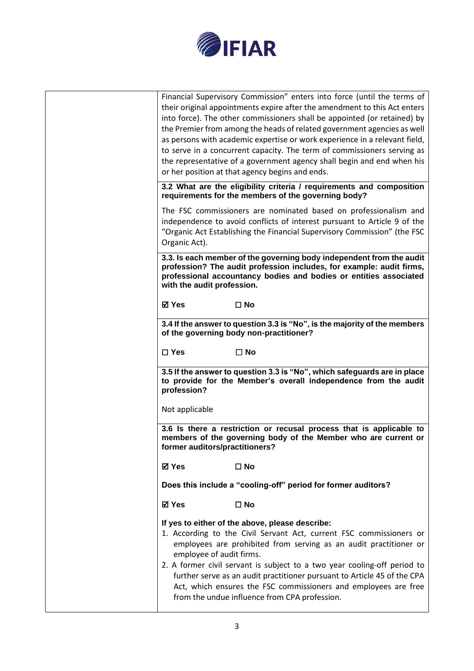

| Does this include a "cooling-off" period for former auditors?<br>⊠ Yes<br>$\square$ No<br>If yes to either of the above, please describe:<br>1. According to the Civil Servant Act, current FSC commissioners or<br>employees are prohibited from serving as an audit practitioner or<br>employee of audit firms.<br>2. A former civil servant is subject to a two year cooling-off period to<br>further serve as an audit practitioner pursuant to Article 45 of the CPA<br>Act, which ensures the FSC commissioners and employees are free                                                      |
|---------------------------------------------------------------------------------------------------------------------------------------------------------------------------------------------------------------------------------------------------------------------------------------------------------------------------------------------------------------------------------------------------------------------------------------------------------------------------------------------------------------------------------------------------------------------------------------------------|
| ⊠ Yes<br>$\square$ No                                                                                                                                                                                                                                                                                                                                                                                                                                                                                                                                                                             |
| 3.6 Is there a restriction or recusal process that is applicable to<br>members of the governing body of the Member who are current or<br>former auditors/practitioners?                                                                                                                                                                                                                                                                                                                                                                                                                           |
| profession?<br>Not applicable                                                                                                                                                                                                                                                                                                                                                                                                                                                                                                                                                                     |
| 3.5 If the answer to question 3.3 is "No", which safeguards are in place<br>to provide for the Member's overall independence from the audit                                                                                                                                                                                                                                                                                                                                                                                                                                                       |
| $\square$ Yes<br>$\Box$ No                                                                                                                                                                                                                                                                                                                                                                                                                                                                                                                                                                        |
| 3.4 If the answer to question 3.3 is "No", is the majority of the members<br>of the governing body non-practitioner?                                                                                                                                                                                                                                                                                                                                                                                                                                                                              |
| ⊠ Yes<br>$\square$ No                                                                                                                                                                                                                                                                                                                                                                                                                                                                                                                                                                             |
| 3.3. Is each member of the governing body independent from the audit<br>profession? The audit profession includes, for example: audit firms,<br>professional accountancy bodies and bodies or entities associated<br>with the audit profession.                                                                                                                                                                                                                                                                                                                                                   |
| The FSC commissioners are nominated based on professionalism and<br>independence to avoid conflicts of interest pursuant to Article 9 of the<br>"Organic Act Establishing the Financial Supervisory Commission" (the FSC<br>Organic Act).                                                                                                                                                                                                                                                                                                                                                         |
| 3.2 What are the eligibility criteria / requirements and composition<br>requirements for the members of the governing body?                                                                                                                                                                                                                                                                                                                                                                                                                                                                       |
| Financial Supervisory Commission" enters into force (until the terms of<br>their original appointments expire after the amendment to this Act enters<br>into force). The other commissioners shall be appointed (or retained) by<br>the Premier from among the heads of related government agencies as well<br>as persons with academic expertise or work experience in a relevant field,<br>to serve in a concurrent capacity. The term of commissioners serving as<br>the representative of a government agency shall begin and end when his<br>or her position at that agency begins and ends. |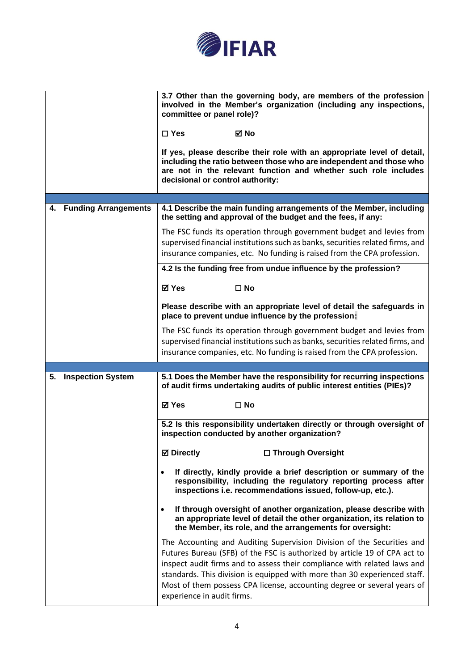

|                                | 3.7 Other than the governing body, are members of the profession<br>involved in the Member's organization (including any inspections,<br>committee or panel role)?<br>⊠ No<br>$\square$ Yes<br>If yes, please describe their role with an appropriate level of detail,<br>including the ratio between those who are independent and those who<br>are not in the relevant function and whether such role includes<br>decisional or control authority: |
|--------------------------------|------------------------------------------------------------------------------------------------------------------------------------------------------------------------------------------------------------------------------------------------------------------------------------------------------------------------------------------------------------------------------------------------------------------------------------------------------|
| 4. Funding Arrangements        | 4.1 Describe the main funding arrangements of the Member, including<br>the setting and approval of the budget and the fees, if any:                                                                                                                                                                                                                                                                                                                  |
|                                | The FSC funds its operation through government budget and levies from<br>supervised financial institutions such as banks, securities related firms, and<br>insurance companies, etc. No funding is raised from the CPA profession.                                                                                                                                                                                                                   |
|                                | 4.2 Is the funding free from undue influence by the profession?                                                                                                                                                                                                                                                                                                                                                                                      |
|                                | <b>⊠</b> Yes<br>$\square$ No                                                                                                                                                                                                                                                                                                                                                                                                                         |
|                                | Please describe with an appropriate level of detail the safeguards in<br>place to prevent undue influence by the profession:                                                                                                                                                                                                                                                                                                                         |
|                                | The FSC funds its operation through government budget and levies from<br>supervised financial institutions such as banks, securities related firms, and<br>insurance companies, etc. No funding is raised from the CPA profession.                                                                                                                                                                                                                   |
|                                |                                                                                                                                                                                                                                                                                                                                                                                                                                                      |
| <b>Inspection System</b><br>5. | 5.1 Does the Member have the responsibility for recurring inspections<br>of audit firms undertaking audits of public interest entities (PIEs)?                                                                                                                                                                                                                                                                                                       |
|                                | <b>⊠</b> Yes<br>$\square$ No                                                                                                                                                                                                                                                                                                                                                                                                                         |
|                                | 5.2 Is this responsibility undertaken directly or through oversight of<br>inspection conducted by another organization?                                                                                                                                                                                                                                                                                                                              |
|                                | □ Through Oversight<br><b>Ø</b> Directly                                                                                                                                                                                                                                                                                                                                                                                                             |
|                                | If directly, kindly provide a brief description or summary of the<br>responsibility, including the regulatory reporting process after<br>inspections i.e. recommendations issued, follow-up, etc.).                                                                                                                                                                                                                                                  |
|                                | If through oversight of another organization, please describe with<br>an appropriate level of detail the other organization, its relation to<br>the Member, its role, and the arrangements for oversight:                                                                                                                                                                                                                                            |
|                                | The Accounting and Auditing Supervision Division of the Securities and<br>Futures Bureau (SFB) of the FSC is authorized by article 19 of CPA act to<br>inspect audit firms and to assess their compliance with related laws and<br>standards. This division is equipped with more than 30 experienced staff.<br>Most of them possess CPA license, accounting degree or several years of<br>experience in audit firms.                                |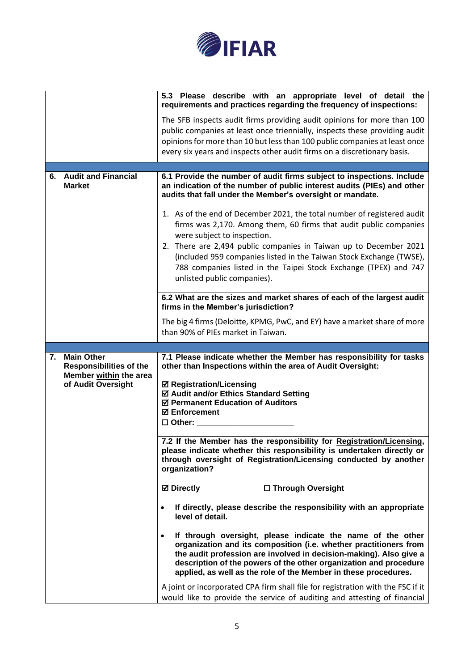

|    |                                                     | 5.3 Please describe with an appropriate level of detail the<br>requirements and practices regarding the frequency of inspections:                                                                                                                                                                                                              |
|----|-----------------------------------------------------|------------------------------------------------------------------------------------------------------------------------------------------------------------------------------------------------------------------------------------------------------------------------------------------------------------------------------------------------|
|    |                                                     | The SFB inspects audit firms providing audit opinions for more than 100<br>public companies at least once triennially, inspects these providing audit<br>opinions for more than 10 but less than 100 public companies at least once<br>every six years and inspects other audit firms on a discretionary basis.                                |
|    |                                                     |                                                                                                                                                                                                                                                                                                                                                |
| 6. | <b>Audit and Financial</b><br><b>Market</b>         | 6.1 Provide the number of audit firms subject to inspections. Include<br>an indication of the number of public interest audits (PIEs) and other<br>audits that fall under the Member's oversight or mandate.                                                                                                                                   |
|    |                                                     | 1. As of the end of December 2021, the total number of registered audit<br>firms was 2,170. Among them, 60 firms that audit public companies<br>were subject to inspection.                                                                                                                                                                    |
|    |                                                     | 2. There are 2,494 public companies in Taiwan up to December 2021<br>(included 959 companies listed in the Taiwan Stock Exchange (TWSE),<br>788 companies listed in the Taipei Stock Exchange (TPEX) and 747<br>unlisted public companies).                                                                                                    |
|    |                                                     | 6.2 What are the sizes and market shares of each of the largest audit<br>firms in the Member's jurisdiction?                                                                                                                                                                                                                                   |
|    |                                                     | The big 4 firms (Deloitte, KPMG, PwC, and EY) have a market share of more<br>than 90% of PIEs market in Taiwan.                                                                                                                                                                                                                                |
|    |                                                     |                                                                                                                                                                                                                                                                                                                                                |
|    |                                                     |                                                                                                                                                                                                                                                                                                                                                |
| 7. | <b>Main Other</b><br><b>Responsibilities of the</b> | 7.1 Please indicate whether the Member has responsibility for tasks<br>other than Inspections within the area of Audit Oversight:                                                                                                                                                                                                              |
|    | Member within the area<br>of Audit Oversight        | <b>Ø Registration/Licensing</b><br>☑ Audit and/or Ethics Standard Setting<br>☑ Permanent Education of Auditors<br><b>☑ Enforcement</b><br>$\Box$ Other:                                                                                                                                                                                        |
|    |                                                     | 7.2 If the Member has the responsibility for Registration/Licensing,<br>please indicate whether this responsibility is undertaken directly or<br>through oversight of Registration/Licensing conducted by another<br>organization?                                                                                                             |
|    |                                                     | <b>⊠</b> Directly<br>□ Through Oversight                                                                                                                                                                                                                                                                                                       |
|    |                                                     | If directly, please describe the responsibility with an appropriate<br>level of detail.                                                                                                                                                                                                                                                        |
|    |                                                     | If through oversight, please indicate the name of the other<br>organization and its composition (i.e. whether practitioners from<br>the audit profession are involved in decision-making). Also give a<br>description of the powers of the other organization and procedure<br>applied, as well as the role of the Member in these procedures. |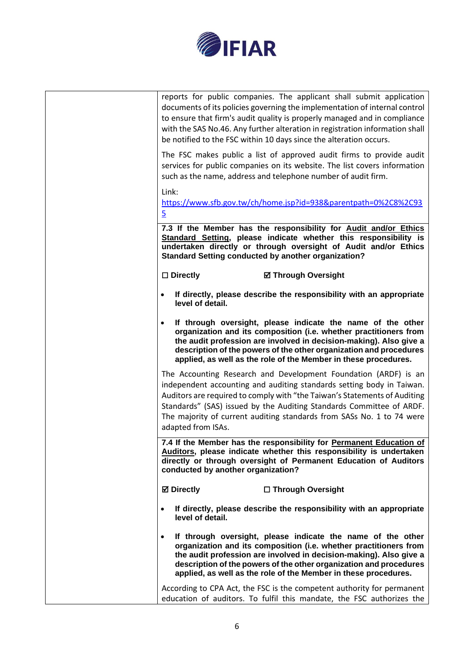

|  | reports for public companies. The applicant shall submit application<br>documents of its policies governing the implementation of internal control<br>to ensure that firm's audit quality is properly managed and in compliance<br>with the SAS No.46. Any further alteration in registration information shall<br>be notified to the FSC within 10 days since the alteration occurs.        |
|--|----------------------------------------------------------------------------------------------------------------------------------------------------------------------------------------------------------------------------------------------------------------------------------------------------------------------------------------------------------------------------------------------|
|  | The FSC makes public a list of approved audit firms to provide audit<br>services for public companies on its website. The list covers information<br>such as the name, address and telephone number of audit firm.                                                                                                                                                                           |
|  | Link:<br>https://www.sfb.gov.tw/ch/home.jsp?id=938&parentpath=0%2C8%2C93<br>$\overline{5}$                                                                                                                                                                                                                                                                                                   |
|  | 7.3 If the Member has the responsibility for Audit and/or Ethics<br>Standard Setting, please indicate whether this responsibility is<br>undertaken directly or through oversight of Audit and/or Ethics<br><b>Standard Setting conducted by another organization?</b>                                                                                                                        |
|  | $\Box$ Directly<br><b>Ø Through Oversight</b>                                                                                                                                                                                                                                                                                                                                                |
|  | If directly, please describe the responsibility with an appropriate<br>level of detail.                                                                                                                                                                                                                                                                                                      |
|  | If through oversight, please indicate the name of the other<br>organization and its composition (i.e. whether practitioners from<br>the audit profession are involved in decision-making). Also give a<br>description of the powers of the other organization and procedures<br>applied, as well as the role of the Member in these procedures.                                              |
|  | The Accounting Research and Development Foundation (ARDF) is an<br>independent accounting and auditing standards setting body in Taiwan.<br>Auditors are required to comply with "the Taiwan's Statements of Auditing<br>Standards" (SAS) issued by the Auditing Standards Committee of ARDF.<br>The majority of current auditing standards from SASs No. 1 to 74 were<br>adapted from ISAs. |
|  | 7.4 If the Member has the responsibility for Permanent Education of<br>Auditors, please indicate whether this responsibility is undertaken<br>directly or through oversight of Permanent Education of Auditors<br>conducted by another organization?                                                                                                                                         |
|  | <b>⊠</b> Directly<br>□ Through Oversight                                                                                                                                                                                                                                                                                                                                                     |
|  | If directly, please describe the responsibility with an appropriate<br>level of detail.                                                                                                                                                                                                                                                                                                      |
|  | If through oversight, please indicate the name of the other<br>organization and its composition (i.e. whether practitioners from<br>the audit profession are involved in decision-making). Also give a<br>description of the powers of the other organization and procedures<br>applied, as well as the role of the Member in these procedures.                                              |
|  | According to CPA Act, the FSC is the competent authority for permanent<br>education of auditors. To fulfil this mandate, the FSC authorizes the                                                                                                                                                                                                                                              |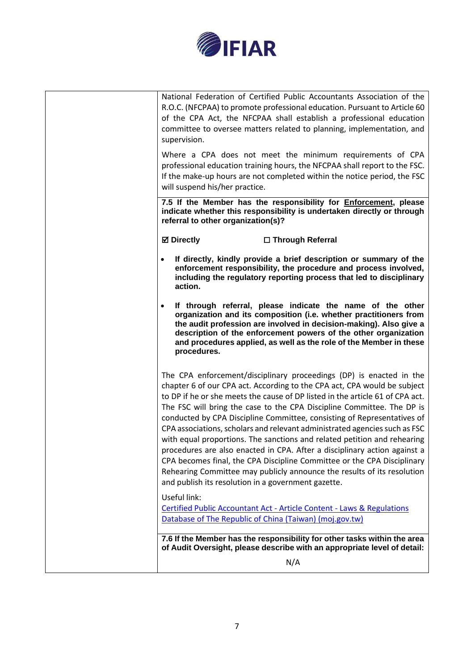

| National Federation of Certified Public Accountants Association of the<br>R.O.C. (NFCPAA) to promote professional education. Pursuant to Article 60<br>of the CPA Act, the NFCPAA shall establish a professional education<br>committee to oversee matters related to planning, implementation, and<br>supervision.                                                                                                                                                                                                                                                                                                                                                                                                                                                                                                                       |
|-------------------------------------------------------------------------------------------------------------------------------------------------------------------------------------------------------------------------------------------------------------------------------------------------------------------------------------------------------------------------------------------------------------------------------------------------------------------------------------------------------------------------------------------------------------------------------------------------------------------------------------------------------------------------------------------------------------------------------------------------------------------------------------------------------------------------------------------|
| Where a CPA does not meet the minimum requirements of CPA<br>professional education training hours, the NFCPAA shall report to the FSC.<br>If the make-up hours are not completed within the notice period, the FSC<br>will suspend his/her practice.                                                                                                                                                                                                                                                                                                                                                                                                                                                                                                                                                                                     |
| 7.5 If the Member has the responsibility for <b>Enforcement</b> , please<br>indicate whether this responsibility is undertaken directly or through<br>referral to other organization(s)?                                                                                                                                                                                                                                                                                                                                                                                                                                                                                                                                                                                                                                                  |
| <b>Ø</b> Directly<br>□ Through Referral                                                                                                                                                                                                                                                                                                                                                                                                                                                                                                                                                                                                                                                                                                                                                                                                   |
| If directly, kindly provide a brief description or summary of the<br>$\bullet$<br>enforcement responsibility, the procedure and process involved,<br>including the regulatory reporting process that led to disciplinary<br>action.                                                                                                                                                                                                                                                                                                                                                                                                                                                                                                                                                                                                       |
| If through referral, please indicate the name of the other<br>$\bullet$<br>organization and its composition (i.e. whether practitioners from<br>the audit profession are involved in decision-making). Also give a<br>description of the enforcement powers of the other organization<br>and procedures applied, as well as the role of the Member in these<br>procedures.                                                                                                                                                                                                                                                                                                                                                                                                                                                                |
| The CPA enforcement/disciplinary proceedings (DP) is enacted in the<br>chapter 6 of our CPA act. According to the CPA act, CPA would be subject<br>to DP if he or she meets the cause of DP listed in the article 61 of CPA act.<br>The FSC will bring the case to the CPA Discipline Committee. The DP is<br>conducted by CPA Discipline Committee, consisting of Representatives of<br>CPA associations, scholars and relevant administrated agencies such as FSC<br>with equal proportions. The sanctions and related petition and rehearing<br>procedures are also enacted in CPA. After a disciplinary action against a<br>CPA becomes final, the CPA Discipline Committee or the CPA Disciplinary<br>Rehearing Committee may publicly announce the results of its resolution<br>and publish its resolution in a government gazette. |
| Useful link:<br><b>Certified Public Accountant Act - Article Content - Laws &amp; Regulations</b><br>Database of The Republic of China (Taiwan) (moj.gov.tw)                                                                                                                                                                                                                                                                                                                                                                                                                                                                                                                                                                                                                                                                              |
| 7.6 If the Member has the responsibility for other tasks within the area<br>of Audit Oversight, please describe with an appropriate level of detail:                                                                                                                                                                                                                                                                                                                                                                                                                                                                                                                                                                                                                                                                                      |
| N/A                                                                                                                                                                                                                                                                                                                                                                                                                                                                                                                                                                                                                                                                                                                                                                                                                                       |